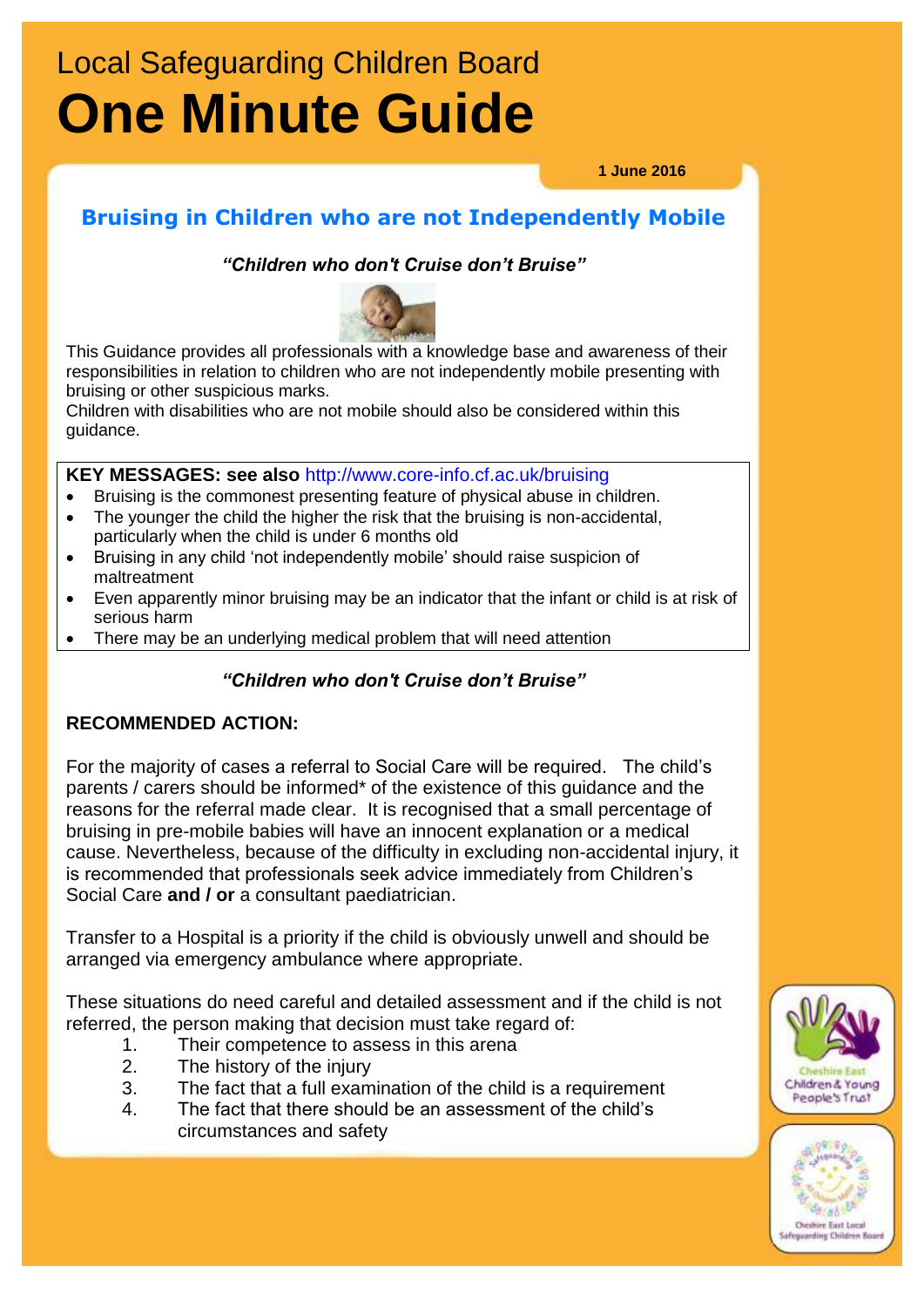# Local Safeguarding Children Board **One Minute Guide**

**1 June 2016**

## **Bruising in Children who are not Independently Mobile**

*"Children who don't Cruise don't Bruise"*



This Guidance provides all professionals with a knowledge base and awareness of their responsibilities in relation to children who are not independently mobile presenting with bruising or other suspicious marks.

Children with disabilities who are not mobile should also be considered within this guidance.

**KEY MESSAGES: see also** http://www.core-info.cf.ac.uk/bruising

- Bruising is the commonest presenting feature of physical abuse in children.
- The younger the child the higher the risk that the bruising is non-accidental, particularly when the child is under 6 months old
- Bruising in any child 'not independently mobile' should raise suspicion of maltreatment
- Even apparently minor bruising may be an indicator that the infant or child is at risk of serious harm
- There may be an underlying medical problem that will need attention

### *"Children who don't Cruise don't Bruise"*

### **RECOMMENDED ACTION:**

For the majority of cases a referral to Social Care will be required. The child's parents / carers should be informed\* of the existence of this guidance and the reasons for the referral made clear. It is recognised that a small percentage of bruising in pre-mobile babies will have an innocent explanation or a medical cause. Nevertheless, because of the difficulty in excluding non-accidental injury, it is recommended that professionals seek advice immediately from Children's Social Care **and / or** a consultant paediatrician.

Transfer to a Hospital is a priority if the child is obviously unwell and should be arranged via emergency ambulance where appropriate.

These situations do need careful and detailed assessment and if the child is not referred, the person making that decision must take regard of:

- 1. Their competence to assess in this arena
- 2. The history of the injury
- 3. The fact that a full examination of the child is a requirement
- 4. The fact that there should be an assessment of the child's circumstances and safety